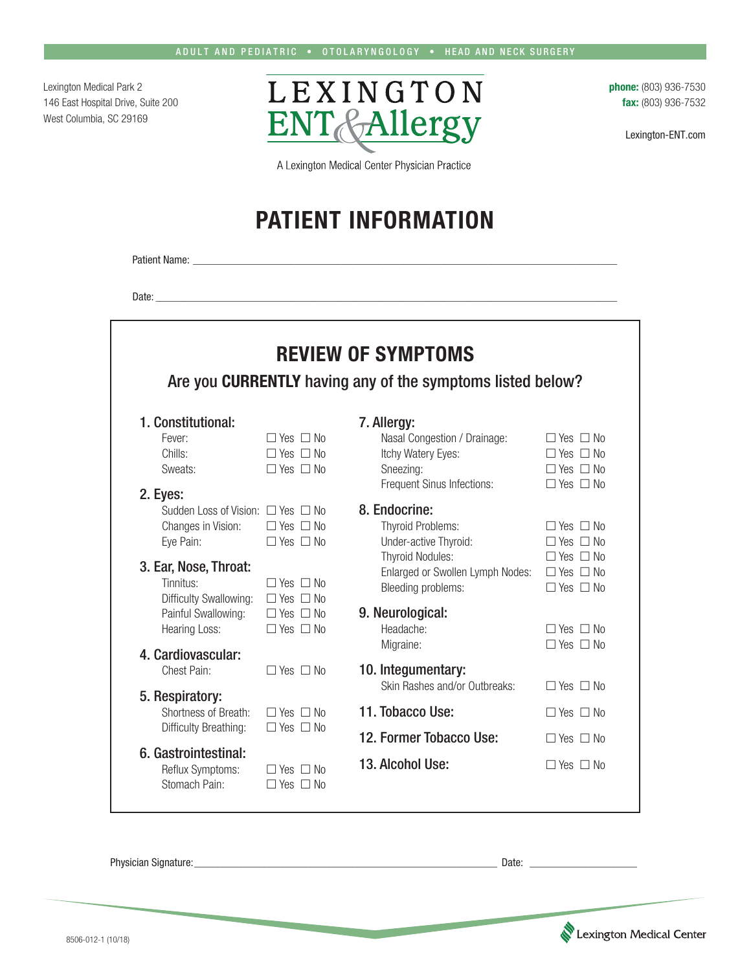Lexington Medical Park 2 146 East Hospital Drive, Suite 200 West Columbia, SC 29169



**phone:** (803) 936-7530 **fax:** (803) 936-7532

Lexington-ENT.com

A Lexington Medical Center Physician Practice

## **PATIENT INFORMATION**

Patient Name: \_\_\_\_

Date: \_\_\_\_\_\_\_\_\_\_\_\_\_\_\_\_\_\_\_\_\_\_\_\_\_\_\_\_\_\_\_\_\_\_\_\_\_\_\_\_\_\_\_\_\_\_\_\_\_\_\_\_\_\_\_\_\_\_\_\_\_\_\_\_\_\_\_\_\_\_\_\_\_\_\_\_\_\_\_\_\_\_\_\_\_\_\_\_\_\_\_\_\_\_\_\_\_\_\_

| <b>REVIEW OF SYMPTOMS</b><br>Are you CURRENTLY having any of the symptoms listed below? |                                              |                                                    |                                              |  |  |  |  |
|-----------------------------------------------------------------------------------------|----------------------------------------------|----------------------------------------------------|----------------------------------------------|--|--|--|--|
| 1. Constitutional:                                                                      |                                              | 7. Allergy:                                        |                                              |  |  |  |  |
| Fever:<br>Chills:                                                                       | $\Box$ Yes $\Box$ No<br>$\Box$ Yes $\Box$ No | Nasal Congestion / Drainage:<br>Itchy Watery Eyes: | $\Box$ Yes $\Box$ No<br>$\Box$ Yes $\Box$ No |  |  |  |  |
| Sweats:                                                                                 | $\Box$ Yes $\Box$ No                         | Sneezing:                                          | $\Box$ Yes $\Box$ No                         |  |  |  |  |
|                                                                                         |                                              | Frequent Sinus Infections:                         | $\Box$ Yes $\Box$ No                         |  |  |  |  |
| 2. Eyes:                                                                                |                                              |                                                    |                                              |  |  |  |  |
| Sudden Loss of Vision: $\Box$ Yes $\Box$ No                                             |                                              | 8. Endocrine:                                      |                                              |  |  |  |  |
| Changes in Vision:                                                                      | $\Box$ Yes $\Box$ No                         | <b>Thyroid Problems:</b>                           | $\Box$ Yes $\Box$ No                         |  |  |  |  |
| Eye Pain:                                                                               | $\Box$ Yes $\Box$ No                         | Under-active Thyroid:                              | $\Box$ Yes $\Box$ No                         |  |  |  |  |
| 3. Ear, Nose, Throat:                                                                   |                                              | <b>Thyroid Nodules:</b>                            | $\Box$ Yes $\Box$ No                         |  |  |  |  |
| Tinnitus:                                                                               | $\Box$ Yes $\Box$ No                         | Enlarged or Swollen Lymph Nodes:                   | $\Box$ Yes $\Box$ No                         |  |  |  |  |
| Difficulty Swallowing:                                                                  | $\Box$ Yes $\Box$ No                         | Bleeding problems:                                 | $\Box$ Yes $\Box$ No                         |  |  |  |  |
| Painful Swallowing:                                                                     | $\Box$ Yes $\Box$ No                         | 9. Neurological:                                   |                                              |  |  |  |  |
| <b>Hearing Loss:</b>                                                                    | $\Box$ Yes $\Box$ No                         | Headache:                                          | $\Box$ Yes $\Box$ No                         |  |  |  |  |
|                                                                                         |                                              | Migraine:                                          | $\Box$ Yes $\Box$ No                         |  |  |  |  |
| 4. Cardiovascular:                                                                      |                                              |                                                    |                                              |  |  |  |  |
| Chest Pain:                                                                             | $\Box$ Yes $\Box$ No                         | 10. Integumentary:                                 |                                              |  |  |  |  |
| 5. Respiratory:                                                                         |                                              | Skin Rashes and/or Outbreaks:                      | $\Box$ Yes $\Box$ No                         |  |  |  |  |
| Shortness of Breath:                                                                    | $\Box$ Yes $\Box$ No                         | 11. Tobacco Use:                                   | $\Box$ Yes $\Box$ No                         |  |  |  |  |
| Difficulty Breathing:                                                                   | $\Box$ Yes $\Box$ No                         |                                                    |                                              |  |  |  |  |
|                                                                                         |                                              | 12. Former Tobacco Use:                            | $\Box$ Yes $\Box$ No                         |  |  |  |  |
| 6. Gastrointestinal:                                                                    |                                              | 13. Alcohol Use:                                   |                                              |  |  |  |  |
| Reflux Symptoms:                                                                        | $\Box$ Yes $\Box$ No                         |                                                    | $\Box$ Yes $\Box$ No                         |  |  |  |  |

Physician Signature:\_\_\_\_\_\_\_\_\_\_\_\_\_\_\_\_\_\_\_\_\_\_\_\_\_\_\_\_\_\_\_\_\_\_\_\_\_\_\_\_\_\_\_\_\_\_\_\_\_\_\_\_\_\_\_\_\_\_\_\_\_\_\_\_\_ Date: \_\_\_\_\_\_\_\_\_\_\_\_\_\_\_\_\_\_\_\_\_\_\_